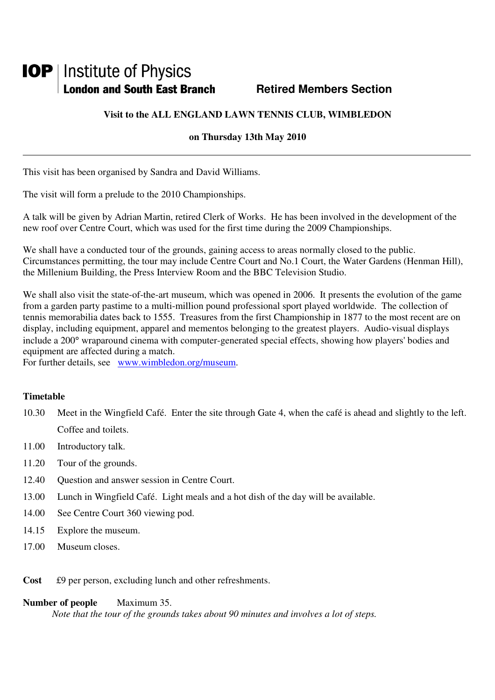# **IOP** | Institute of Physics **London and South East Branch Fig. 3. Retired Members Section**

# **Visit to the ALL ENGLAND LAWN TENNIS CLUB, WIMBLEDON**

### **on Thursday 13th May 2010**

This visit has been organised by Sandra and David Williams.

The visit will form a prelude to the 2010 Championships.

A talk will be given by Adrian Martin, retired Clerk of Works. He has been involved in the development of the new roof over Centre Court, which was used for the first time during the 2009 Championships.

We shall have a conducted tour of the grounds, gaining access to areas normally closed to the public. Circumstances permitting, the tour may include Centre Court and No.1 Court, the Water Gardens (Henman Hill), the Millenium Building, the Press Interview Room and the BBC Television Studio.

We shall also visit the state-of-the-art museum, which was opened in 2006. It presents the evolution of the game from a garden party pastime to a multi-million pound professional sport played worldwide. The collection of tennis memorabilia dates back to 1555. Treasures from the first Championship in 1877 to the most recent are on display, including equipment, apparel and mementos belonging to the greatest players. Audio-visual displays include a 200° wraparound cinema with computer-generated special effects, showing how players' bodies and equipment are affected during a match.

For further details, see www.wimbledon.org/museum.

# **Timetable**

- 10.30 Meet in the Wingfield Café. Enter the site through Gate 4, when the café is ahead and slightly to the left. Coffee and toilets.
- 11.00 Introductory talk.
- 11.20 Tour of the grounds.
- 12.40 Question and answer session in Centre Court.
- 13.00 Lunch in Wingfield Café. Light meals and a hot dish of the day will be available.
- 14.00 See Centre Court 360 viewing pod.
- 14.15 Explore the museum.
- 17.00 Museum closes.
- **Cost** £9 per person, excluding lunch and other refreshments.

#### **Number of people** Maximum 35.

*Note that the tour of the grounds takes about 90 minutes and involves a lot of steps.*